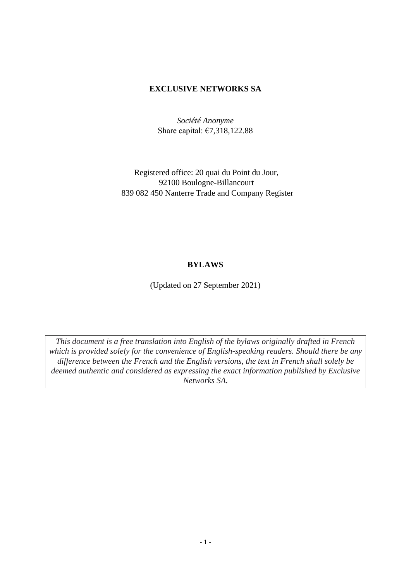# **EXCLUSIVE NETWORKS SA**

*Société Anonyme* Share capital: €7,318,122.88

Registered office: 20 quai du Point du Jour, 92100 Boulogne-Billancourt 839 082 450 Nanterre Trade and Company Register

#### **BYLAWS**

(Updated on 27 September 2021)

*This document is a free translation into English of the bylaws originally drafted in French which is provided solely for the convenience of English-speaking readers. Should there be any difference between the French and the English versions, the text in French shall solely be deemed authentic and considered as expressing the exact information published by Exclusive Networks SA.*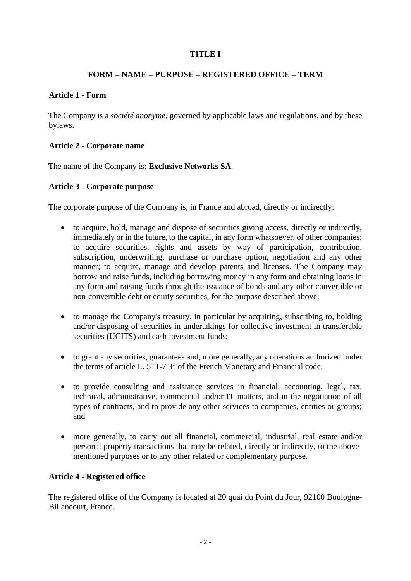# **TITLE I**

## **FORM – NAME – PURPOSE – REGISTERED OFFICE – TERM**

#### **Article 1 - Form**

The Company is a *société anonyme*, governed by applicable laws and regulations, and by these bylaws.

#### **Article 2 - Corporate name**

The name of the Company is: **Exclusive Networks SA**.

#### **Article 3 - Corporate purpose**

The corporate purpose of the Company is, in France and abroad, directly or indirectly:

- to acquire, hold, manage and dispose of securities giving access, directly or indirectly, immediately or in the future, to the capital, in any form whatsoever, of other companies; to acquire securities, rights and assets by way of participation, contribution, subscription, underwriting, purchase or purchase option, negotiation and any other manner; to acquire, manage and develop patents and licenses. The Company may borrow and raise funds, including borrowing money in any form and obtaining loans in any form and raising funds through the issuance of bonds and any other convertible or non-convertible debt or equity securities, for the purpose described above;
- to manage the Company's treasury, in particular by acquiring, subscribing to, holding and/or disposing of securities in undertakings for collective investment in transferable securities (UCITS) and cash investment funds;
- to grant any securities, guarantees and, more generally, any operations authorized under the terms of article L. 511-7 3° of the French Monetary and Financial code;
- to provide consulting and assistance services in financial, accounting, legal, tax, technical, administrative, commercial and/or IT matters, and in the negotiation of all types of contracts, and to provide any other services to companies, entities or groups; and
- more generally, to carry out all financial, commercial, industrial, real estate and/or personal property transactions that may be related, directly or indirectly, to the abovementioned purposes or to any other related or complementary purpose.

## **Article 4 - Registered office**

The registered office of the Company is located at 20 quai du Point du Jour, 92100 Boulogne-Billancourt, France.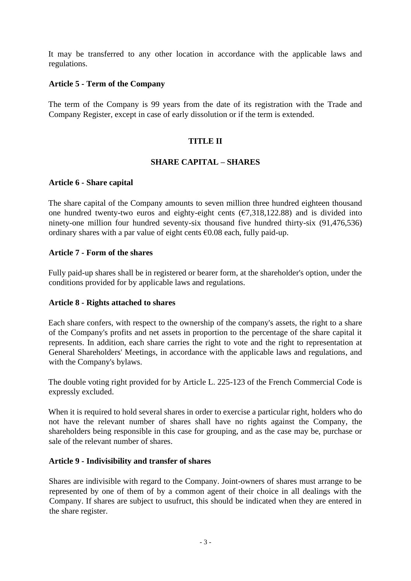It may be transferred to any other location in accordance with the applicable laws and regulations.

## **Article 5 - Term of the Company**

The term of the Company is 99 years from the date of its registration with the Trade and Company Register, except in case of early dissolution or if the term is extended.

## **TITLE II**

# **SHARE CAPITAL – SHARES**

## **Article 6 - Share capital**

The share capital of the Company amounts to seven million three hundred eighteen thousand one hundred twenty-two euros and eighty-eight cents  $(F7,318,122.88)$  and is divided into ninety-one million four hundred seventy-six thousand five hundred thirty-six (91,476,536) ordinary shares with a par value of eight cents  $\epsilon$ 0.08 each, fully paid-up.

## **Article 7 - Form of the shares**

Fully paid-up shares shall be in registered or bearer form, at the shareholder's option, under the conditions provided for by applicable laws and regulations.

## **Article 8 - Rights attached to shares**

Each share confers, with respect to the ownership of the company's assets, the right to a share of the Company's profits and net assets in proportion to the percentage of the share capital it represents. In addition, each share carries the right to vote and the right to representation at General Shareholders' Meetings, in accordance with the applicable laws and regulations, and with the Company's bylaws.

The double voting right provided for by Article L. 225-123 of the French Commercial Code is expressly excluded.

When it is required to hold several shares in order to exercise a particular right, holders who do not have the relevant number of shares shall have no rights against the Company, the shareholders being responsible in this case for grouping, and as the case may be, purchase or sale of the relevant number of shares.

## **Article 9 - Indivisibility and transfer of shares**

Shares are indivisible with regard to the Company. Joint-owners of shares must arrange to be represented by one of them of by a common agent of their choice in all dealings with the Company. If shares are subject to usufruct, this should be indicated when they are entered in the share register.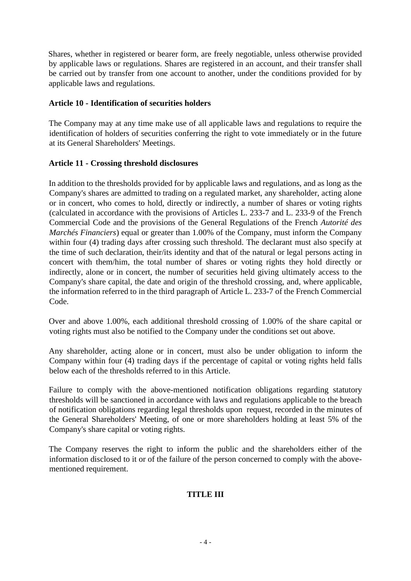Shares, whether in registered or bearer form, are freely negotiable, unless otherwise provided by applicable laws or regulations. Shares are registered in an account, and their transfer shall be carried out by transfer from one account to another, under the conditions provided for by applicable laws and regulations.

#### **Article 10 - Identification of securities holders**

The Company may at any time make use of all applicable laws and regulations to require the identification of holders of securities conferring the right to vote immediately or in the future at its General Shareholders' Meetings.

## **Article 11 - Crossing threshold disclosures**

In addition to the thresholds provided for by applicable laws and regulations, and as long as the Company's shares are admitted to trading on a regulated market, any shareholder, acting alone or in concert, who comes to hold, directly or indirectly, a number of shares or voting rights (calculated in accordance with the provisions of Articles L. 233-7 and L. 233-9 of the French Commercial Code and the provisions of the General Regulations of the French *Autorité des Marchés Financiers*) equal or greater than 1.00% of the Company, must inform the Company within four (4) trading days after crossing such threshold. The declarant must also specify at the time of such declaration, their/its identity and that of the natural or legal persons acting in concert with them/him, the total number of shares or voting rights they hold directly or indirectly, alone or in concert, the number of securities held giving ultimately access to the Company's share capital, the date and origin of the threshold crossing, and, where applicable, the information referred to in the third paragraph of Article L. 233-7 of the French Commercial Code.

Over and above 1.00%, each additional threshold crossing of 1.00% of the share capital or voting rights must also be notified to the Company under the conditions set out above.

Any shareholder, acting alone or in concert, must also be under obligation to inform the Company within four (4) trading days if the percentage of capital or voting rights held falls below each of the thresholds referred to in this Article.

Failure to comply with the above-mentioned notification obligations regarding statutory thresholds will be sanctioned in accordance with laws and regulations applicable to the breach of notification obligations regarding legal thresholds upon request, recorded in the minutes of the General Shareholders' Meeting, of one or more shareholders holding at least 5% of the Company's share capital or voting rights.

The Company reserves the right to inform the public and the shareholders either of the information disclosed to it or of the failure of the person concerned to comply with the abovementioned requirement.

## **TITLE III**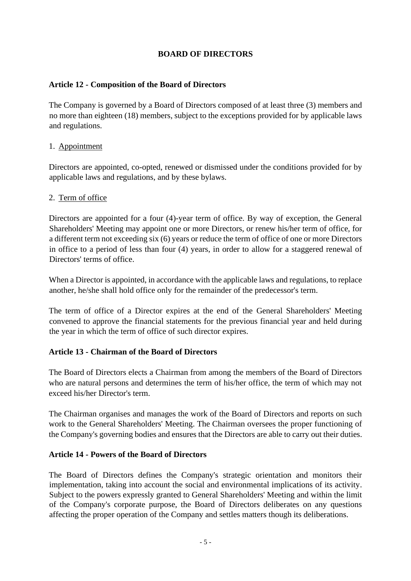# **BOARD OF DIRECTORS**

# **Article 12 - Composition of the Board of Directors**

The Company is governed by a Board of Directors composed of at least three (3) members and no more than eighteen (18) members, subject to the exceptions provided for by applicable laws and regulations.

# 1. Appointment

Directors are appointed, co-opted, renewed or dismissed under the conditions provided for by applicable laws and regulations, and by these bylaws.

# 2. Term of office

Directors are appointed for a four (4)-year term of office. By way of exception, the General Shareholders' Meeting may appoint one or more Directors, or renew his/her term of office, for a different term not exceeding six (6) years or reduce the term of office of one or more Directors in office to a period of less than four (4) years, in order to allow for a staggered renewal of Directors' terms of office.

When a Director is appointed, in accordance with the applicable laws and regulations, to replace another, he/she shall hold office only for the remainder of the predecessor's term.

The term of office of a Director expires at the end of the General Shareholders' Meeting convened to approve the financial statements for the previous financial year and held during the year in which the term of office of such director expires.

# **Article 13 - Chairman of the Board of Directors**

The Board of Directors elects a Chairman from among the members of the Board of Directors who are natural persons and determines the term of his/her office, the term of which may not exceed his/her Director's term.

The Chairman organises and manages the work of the Board of Directors and reports on such work to the General Shareholders' Meeting. The Chairman oversees the proper functioning of the Company's governing bodies and ensures that the Directors are able to carry out their duties.

# **Article 14 - Powers of the Board of Directors**

The Board of Directors defines the Company's strategic orientation and monitors their implementation, taking into account the social and environmental implications of its activity. Subject to the powers expressly granted to General Shareholders' Meeting and within the limit of the Company's corporate purpose, the Board of Directors deliberates on any questions affecting the proper operation of the Company and settles matters though its deliberations.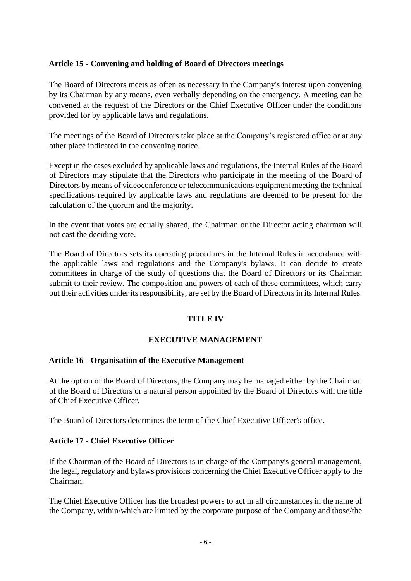### **Article 15 - Convening and holding of Board of Directors meetings**

The Board of Directors meets as often as necessary in the Company's interest upon convening by its Chairman by any means, even verbally depending on the emergency. A meeting can be convened at the request of the Directors or the Chief Executive Officer under the conditions provided for by applicable laws and regulations.

The meetings of the Board of Directors take place at the Company's registered office or at any other place indicated in the convening notice.

Except in the cases excluded by applicable laws and regulations, the Internal Rules of the Board of Directors may stipulate that the Directors who participate in the meeting of the Board of Directors by means of videoconference or telecommunications equipment meeting the technical specifications required by applicable laws and regulations are deemed to be present for the calculation of the quorum and the majority.

In the event that votes are equally shared, the Chairman or the Director acting chairman will not cast the deciding vote.

The Board of Directors sets its operating procedures in the Internal Rules in accordance with the applicable laws and regulations and the Company's bylaws. It can decide to create committees in charge of the study of questions that the Board of Directors or its Chairman submit to their review. The composition and powers of each of these committees, which carry out their activities under its responsibility, are set by the Board of Directors in its Internal Rules.

## **TITLE IV**

## **EXECUTIVE MANAGEMENT**

#### **Article 16 - Organisation of the Executive Management**

At the option of the Board of Directors, the Company may be managed either by the Chairman of the Board of Directors or a natural person appointed by the Board of Directors with the title of Chief Executive Officer.

The Board of Directors determines the term of the Chief Executive Officer's office.

#### **Article 17 - Chief Executive Officer**

If the Chairman of the Board of Directors is in charge of the Company's general management, the legal, regulatory and bylaws provisions concerning the Chief Executive Officer apply to the Chairman.

The Chief Executive Officer has the broadest powers to act in all circumstances in the name of the Company, within/which are limited by the corporate purpose of the Company and those/the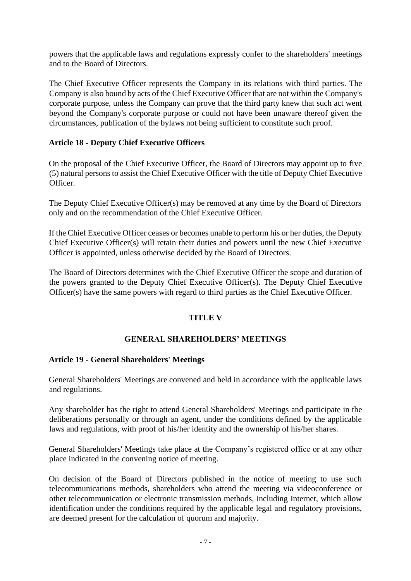powers that the applicable laws and regulations expressly confer to the shareholders' meetings and to the Board of Directors.

The Chief Executive Officer represents the Company in its relations with third parties. The Company is also bound by acts of the Chief Executive Officer that are not within the Company's corporate purpose, unless the Company can prove that the third party knew that such act went beyond the Company's corporate purpose or could not have been unaware thereof given the circumstances, publication of the bylaws not being sufficient to constitute such proof.

## **Article 18 - Deputy Chief Executive Officers**

On the proposal of the Chief Executive Officer, the Board of Directors may appoint up to five (5) natural persons to assist the Chief Executive Officer with the title of Deputy Chief Executive Officer.

The Deputy Chief Executive Officer(s) may be removed at any time by the Board of Directors only and on the recommendation of the Chief Executive Officer.

If the Chief Executive Officer ceases or becomes unable to perform his or her duties, the Deputy Chief Executive Officer(s) will retain their duties and powers until the new Chief Executive Officer is appointed, unless otherwise decided by the Board of Directors.

The Board of Directors determines with the Chief Executive Officer the scope and duration of the powers granted to the Deputy Chief Executive Officer(s). The Deputy Chief Executive Officer(s) have the same powers with regard to third parties as the Chief Executive Officer.

## **TITLE V**

## **GENERAL SHAREHOLDERS' MEETINGS**

## **Article 19 - General Shareholders' Meetings**

General Shareholders' Meetings are convened and held in accordance with the applicable laws and regulations.

Any shareholder has the right to attend General Shareholders' Meetings and participate in the deliberations personally or through an agent, under the conditions defined by the applicable laws and regulations, with proof of his/her identity and the ownership of his/her shares.

General Shareholders' Meetings take place at the Company's registered office or at any other place indicated in the convening notice of meeting.

On decision of the Board of Directors published in the notice of meeting to use such telecommunications methods, shareholders who attend the meeting via videoconference or other telecommunication or electronic transmission methods, including Internet, which allow identification under the conditions required by the applicable legal and regulatory provisions, are deemed present for the calculation of quorum and majority.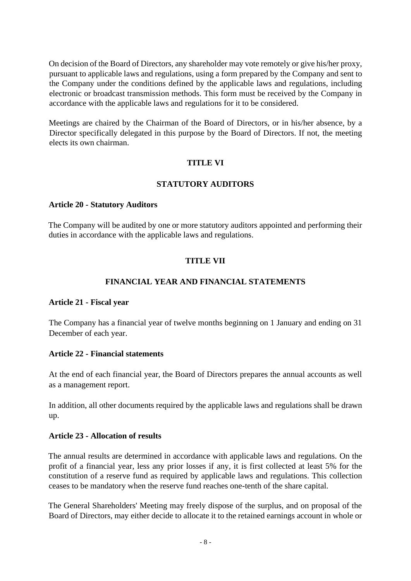On decision of the Board of Directors, any shareholder may vote remotely or give his/her proxy, pursuant to applicable laws and regulations, using a form prepared by the Company and sent to the Company under the conditions defined by the applicable laws and regulations, including electronic or broadcast transmission methods. This form must be received by the Company in accordance with the applicable laws and regulations for it to be considered.

Meetings are chaired by the Chairman of the Board of Directors, or in his/her absence, by a Director specifically delegated in this purpose by the Board of Directors. If not, the meeting elects its own chairman.

# **TITLE VI**

# **STATUTORY AUDITORS**

#### **Article 20 - Statutory Auditors**

The Company will be audited by one or more statutory auditors appointed and performing their duties in accordance with the applicable laws and regulations.

## **TITLE VII**

# **FINANCIAL YEAR AND FINANCIAL STATEMENTS**

## **Article 21 - Fiscal year**

The Company has a financial year of twelve months beginning on 1 January and ending on 31 December of each year.

## **Article 22 - Financial statements**

At the end of each financial year, the Board of Directors prepares the annual accounts as well as a management report.

In addition, all other documents required by the applicable laws and regulations shall be drawn up.

## **Article 23 - Allocation of results**

The annual results are determined in accordance with applicable laws and regulations. On the profit of a financial year, less any prior losses if any, it is first collected at least 5% for the constitution of a reserve fund as required by applicable laws and regulations. This collection ceases to be mandatory when the reserve fund reaches one-tenth of the share capital.

The General Shareholders' Meeting may freely dispose of the surplus, and on proposal of the Board of Directors, may either decide to allocate it to the retained earnings account in whole or